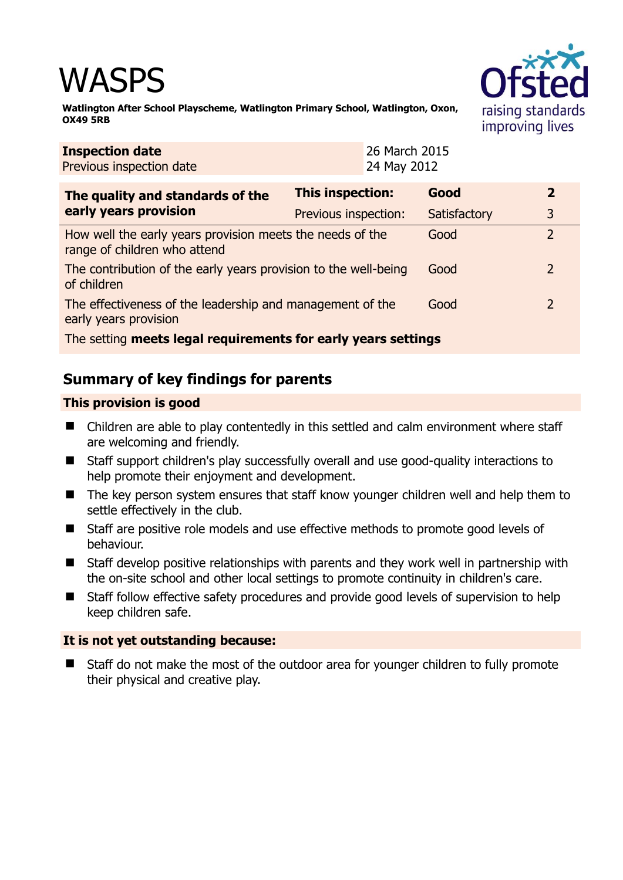# WASPS



**Watlington After School Playscheme, Watlington Primary School, Watlington, Oxon, OX49 5RB** 

| <b>Inspection date</b><br>Previous inspection date                                        |                         | 26 March 2015<br>24 May 2012 |              |  |                |
|-------------------------------------------------------------------------------------------|-------------------------|------------------------------|--------------|--|----------------|
| The quality and standards of the                                                          | <b>This inspection:</b> |                              | Good         |  | 2              |
| early years provision                                                                     | Previous inspection:    |                              | Satisfactory |  | 3              |
| How well the early years provision meets the needs of the<br>range of children who attend |                         |                              | Good         |  | $\overline{2}$ |
| The contribution of the early years provision to the well-being<br>of children            |                         |                              | Good         |  |                |
| The effectiveness of the leadership and management of the<br>early years provision        |                         |                              | Good         |  |                |
| The setting meets legal requirements for early years settings                             |                         |                              |              |  |                |

# **Summary of key findings for parents**

## **This provision is good**

- Children are able to play contentedly in this settled and calm environment where staff are welcoming and friendly.
- Staff support children's play successfully overall and use good-quality interactions to help promote their enjoyment and development.
- The key person system ensures that staff know younger children well and help them to settle effectively in the club.
- Staff are positive role models and use effective methods to promote good levels of behaviour.
- Staff develop positive relationships with parents and they work well in partnership with the on-site school and other local settings to promote continuity in children's care.
- Staff follow effective safety procedures and provide good levels of supervision to help keep children safe.

## **It is not yet outstanding because:**

■ Staff do not make the most of the outdoor area for younger children to fully promote their physical and creative play.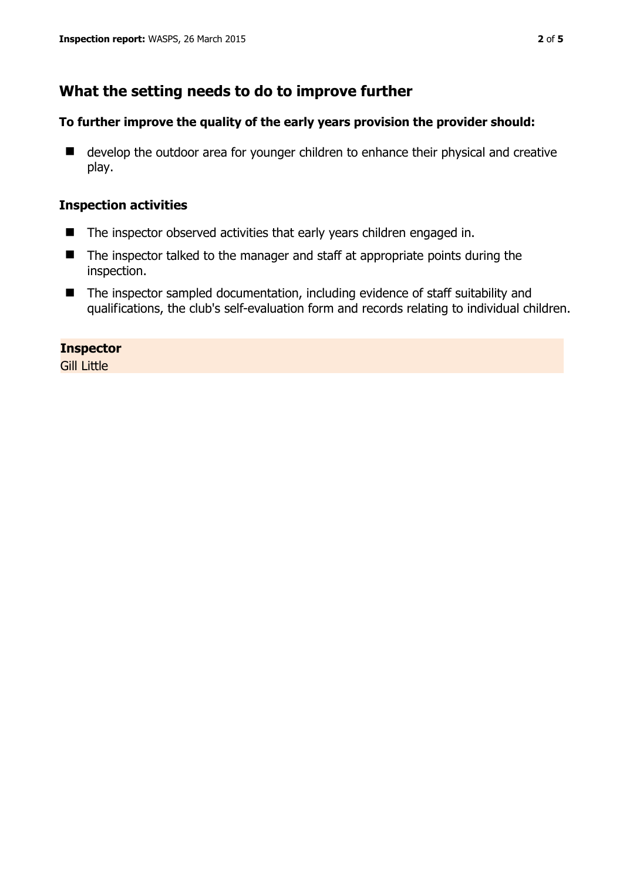# **What the setting needs to do to improve further**

#### **To further improve the quality of the early years provision the provider should:**

■ develop the outdoor area for younger children to enhance their physical and creative play.

### **Inspection activities**

- The inspector observed activities that early years children engaged in.
- The inspector talked to the manager and staff at appropriate points during the inspection.
- The inspector sampled documentation, including evidence of staff suitability and qualifications, the club's self-evaluation form and records relating to individual children.

**Inspector Gill Little**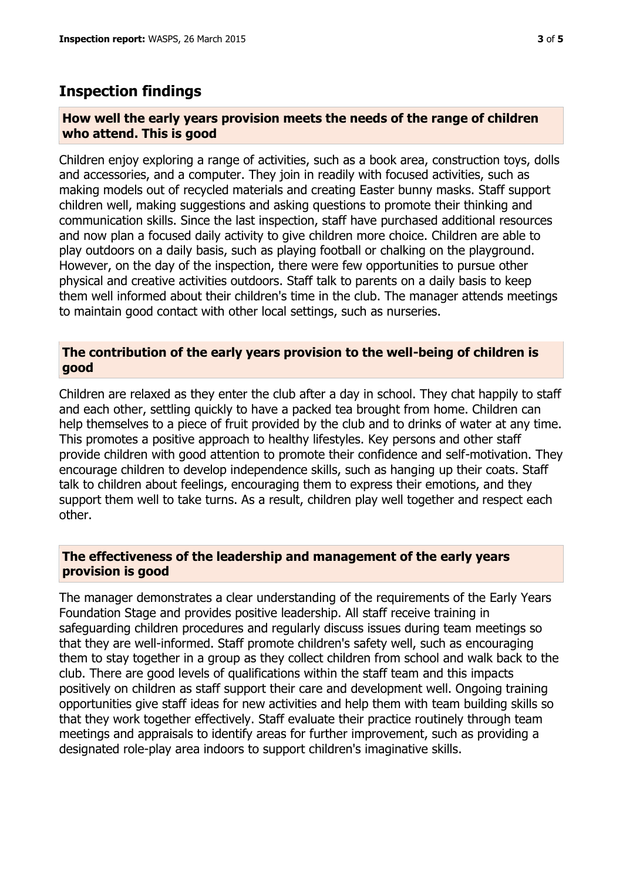## **Inspection findings**

#### **How well the early years provision meets the needs of the range of children who attend. This is good**

Children enjoy exploring a range of activities, such as a book area, construction toys, dolls and accessories, and a computer. They join in readily with focused activities, such as making models out of recycled materials and creating Easter bunny masks. Staff support children well, making suggestions and asking questions to promote their thinking and communication skills. Since the last inspection, staff have purchased additional resources and now plan a focused daily activity to give children more choice. Children are able to play outdoors on a daily basis, such as playing football or chalking on the playground. However, on the day of the inspection, there were few opportunities to pursue other physical and creative activities outdoors. Staff talk to parents on a daily basis to keep them well informed about their children's time in the club. The manager attends meetings to maintain good contact with other local settings, such as nurseries.

#### **The contribution of the early years provision to the well-being of children is good**

Children are relaxed as they enter the club after a day in school. They chat happily to staff and each other, settling quickly to have a packed tea brought from home. Children can help themselves to a piece of fruit provided by the club and to drinks of water at any time. This promotes a positive approach to healthy lifestyles. Key persons and other staff provide children with good attention to promote their confidence and self-motivation. They encourage children to develop independence skills, such as hanging up their coats. Staff talk to children about feelings, encouraging them to express their emotions, and they support them well to take turns. As a result, children play well together and respect each other.

#### **The effectiveness of the leadership and management of the early years provision is good**

The manager demonstrates a clear understanding of the requirements of the Early Years Foundation Stage and provides positive leadership. All staff receive training in safeguarding children procedures and regularly discuss issues during team meetings so that they are well-informed. Staff promote children's safety well, such as encouraging them to stay together in a group as they collect children from school and walk back to the club. There are good levels of qualifications within the staff team and this impacts positively on children as staff support their care and development well. Ongoing training opportunities give staff ideas for new activities and help them with team building skills so that they work together effectively. Staff evaluate their practice routinely through team meetings and appraisals to identify areas for further improvement, such as providing a designated role-play area indoors to support children's imaginative skills.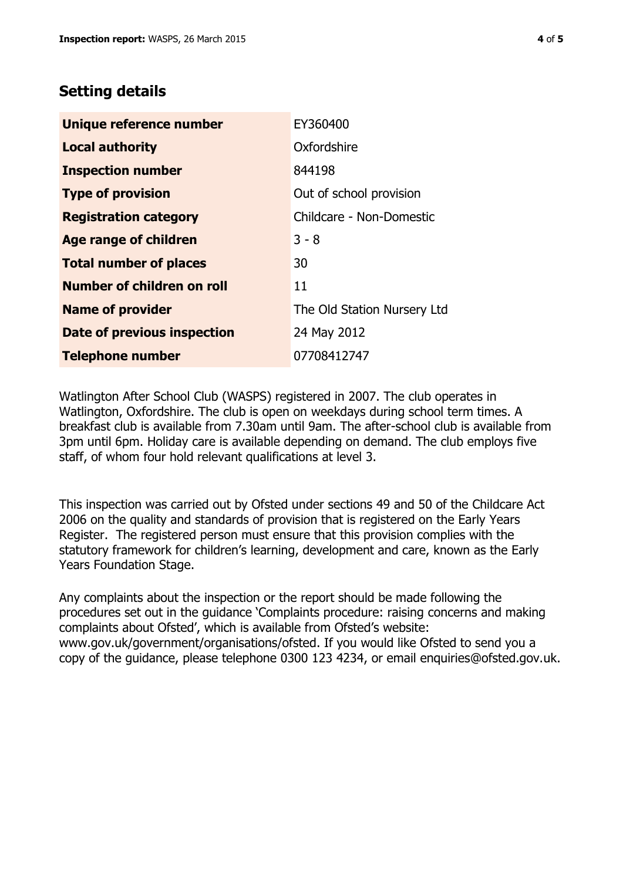# **Setting details**

| Unique reference number       | EY360400                    |  |  |
|-------------------------------|-----------------------------|--|--|
| <b>Local authority</b>        | Oxfordshire                 |  |  |
| <b>Inspection number</b>      | 844198                      |  |  |
| <b>Type of provision</b>      | Out of school provision     |  |  |
| <b>Registration category</b>  | Childcare - Non-Domestic    |  |  |
| <b>Age range of children</b>  | $3 - 8$                     |  |  |
| <b>Total number of places</b> | 30                          |  |  |
| Number of children on roll    | 11                          |  |  |
| <b>Name of provider</b>       | The Old Station Nursery Ltd |  |  |
| Date of previous inspection   | 24 May 2012                 |  |  |
| <b>Telephone number</b>       | 07708412747                 |  |  |

Watlington After School Club (WASPS) registered in 2007. The club operates in Watlington, Oxfordshire. The club is open on weekdays during school term times. A breakfast club is available from 7.30am until 9am. The after-school club is available from 3pm until 6pm. Holiday care is available depending on demand. The club employs five staff, of whom four hold relevant qualifications at level 3.

This inspection was carried out by Ofsted under sections 49 and 50 of the Childcare Act 2006 on the quality and standards of provision that is registered on the Early Years Register. The registered person must ensure that this provision complies with the statutory framework for children's learning, development and care, known as the Early Years Foundation Stage.

Any complaints about the inspection or the report should be made following the procedures set out in the guidance 'Complaints procedure: raising concerns and making complaints about Ofsted', which is available from Ofsted's website: www.gov.uk/government/organisations/ofsted. If you would like Ofsted to send you a copy of the guidance, please telephone 0300 123 4234, or email enquiries@ofsted.gov.uk.